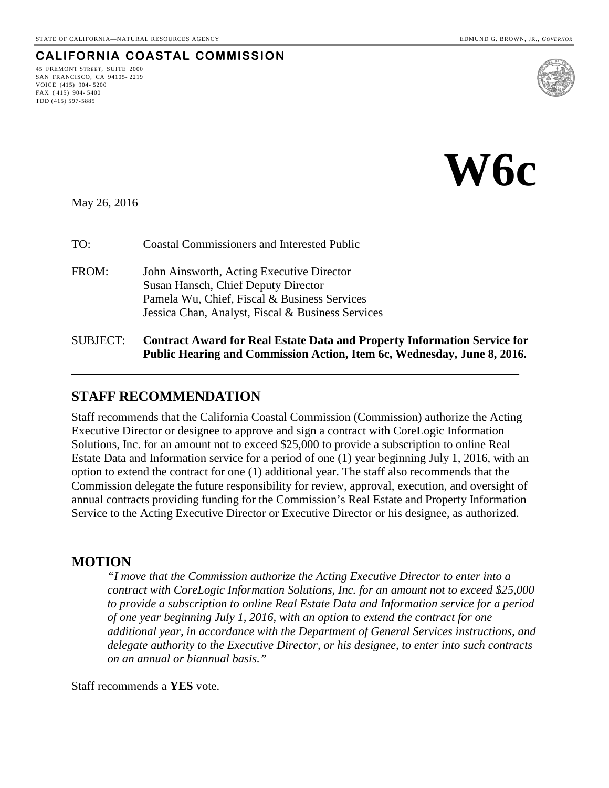### **CALIFORNIA COASTAL COMMISSION**

45 FREMONT STREET, SUITE 2000 SAN FRANCISCO, CA 94105- 2219 VOICE (415) 904- 5200 FAX ( 415) 904- 5400 TDD (415) 597-5885



**W6c**

May 26, 2016

| TO:               | <b>Coastal Commissioners and Interested Public</b>                                                                                                                                    |
|-------------------|---------------------------------------------------------------------------------------------------------------------------------------------------------------------------------------|
| FROM:             | John Ainsworth, Acting Executive Director<br>Susan Hansch, Chief Deputy Director<br>Pamela Wu, Chief, Fiscal & Business Services<br>Jessica Chan, Analyst, Fiscal & Business Services |
| $C$ I ID I $C$ T. | Contract Aword for Deal Estate Data and Dreporty                                                                                                                                      |

#### SUBJECT: **Contract Award for Real Estate Data and Property Information Service for Public Hearing and Commission Action, Item 6c, Wednesday, June 8, 2016.**

#### **STAFF RECOMMENDATION**

Staff recommends that the California Coastal Commission (Commission) authorize the Acting Executive Director or designee to approve and sign a contract with CoreLogic Information Solutions, Inc. for an amount not to exceed \$25,000 to provide a subscription to online Real Estate Data and Information service for a period of one (1) year beginning July 1, 2016, with an option to extend the contract for one (1) additional year. The staff also recommends that the Commission delegate the future responsibility for review, approval, execution, and oversight of annual contracts providing funding for the Commission's Real Estate and Property Information Service to the Acting Executive Director or Executive Director or his designee, as authorized.

#### **MOTION**

*"I move that the Commission authorize the Acting Executive Director to enter into a contract with CoreLogic Information Solutions, Inc. for an amount not to exceed \$25,000 to provide a subscription to online Real Estate Data and Information service for a period of one year beginning July 1, 2016, with an option to extend the contract for one additional year, in accordance with the Department of General Services instructions, and delegate authority to the Executive Director, or his designee, to enter into such contracts on an annual or biannual basis."* 

Staff recommends a **YES** vote.